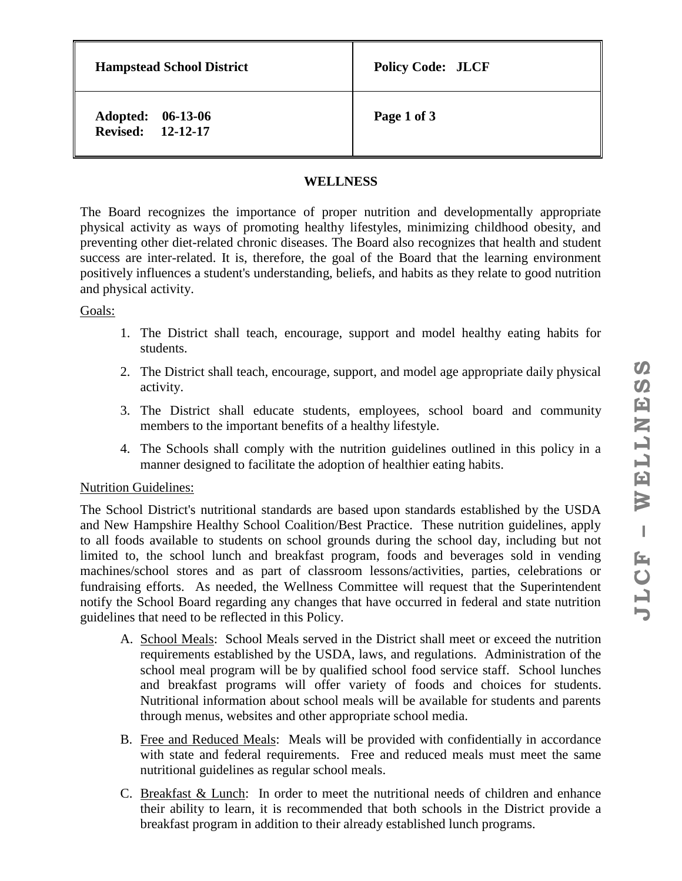**Hampstead School District** Policy Code: JLCF

**Adopted: 06-13-06 Revised: 12-12-17**

**Page 1 of 3**

# **WELLNESS**

The Board recognizes the importance of proper nutrition and developmentally appropriate physical activity as ways of promoting healthy lifestyles, minimizing childhood obesity, and preventing other diet-related chronic diseases. The Board also recognizes that health and student success are inter-related. It is, therefore, the goal of the Board that the learning environment positively influences a student's understanding, beliefs, and habits as they relate to good nutrition and physical activity.

### Goals:

- 1. The District shall teach, encourage, support and model healthy eating habits for students.
- 2. The District shall teach, encourage, support, and model age appropriate daily physical activity.
- 3. The District shall educate students, employees, school board and community members to the important benefits of a healthy lifestyle.
- 4. The Schools shall comply with the nutrition guidelines outlined in this policy in a manner designed to facilitate the adoption of healthier eating habits.

## Nutrition Guidelines:

The School District's nutritional standards are based upon standards established by the USDA and New Hampshire Healthy School Coalition/Best Practice. These nutrition guidelines, apply to all foods available to students on school grounds during the school day, including but not limited to, the school lunch and breakfast program, foods and beverages sold in vending machines/school stores and as part of classroom lessons/activities, parties, celebrations or fundraising efforts. As needed, the Wellness Committee will request that the Superintendent notify the School Board regarding any changes that have occurred in federal and state nutrition guidelines that need to be reflected in this Policy.

- A. School Meals: School Meals served in the District shall meet or exceed the nutrition requirements established by the USDA, laws, and regulations. Administration of the school meal program will be by qualified school food service staff. School lunches and breakfast programs will offer variety of foods and choices for students. Nutritional information about school meals will be available for students and parents through menus, websites and other appropriate school media.
- B. Free and Reduced Meals: Meals will be provided with confidentially in accordance with state and federal requirements. Free and reduced meals must meet the same nutritional guidelines as regular school meals.
- C. Breakfast & Lunch: In order to meet the nutritional needs of children and enhance their ability to learn, it is recommended that both schools in the District provide a breakfast program in addition to their already established lunch programs.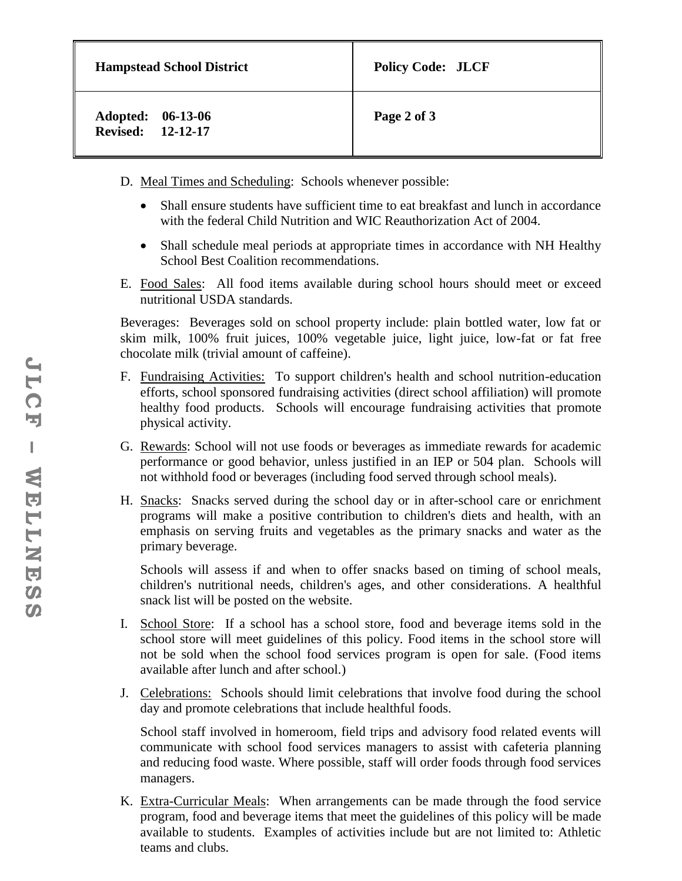| <b>Hampstead School District</b>       | <b>Policy Code: JLCF</b> |
|----------------------------------------|--------------------------|
| Adopted: 06-13-06<br>Revised: 12-12-17 | Page 2 of 3              |

- D. Meal Times and Scheduling: Schools whenever possible:
	- Shall ensure students have sufficient time to eat breakfast and lunch in accordance with the federal Child Nutrition and WIC Reauthorization Act of 2004.
	- Shall schedule meal periods at appropriate times in accordance with NH Healthy School Best Coalition recommendations.
- E. Food Sales: All food items available during school hours should meet or exceed nutritional USDA standards.

Beverages: Beverages sold on school property include: plain bottled water, low fat or skim milk, 100% fruit juices, 100% vegetable juice, light juice, low-fat or fat free chocolate milk (trivial amount of caffeine).

- F. Fundraising Activities: To support children's health and school nutrition-education efforts, school sponsored fundraising activities (direct school affiliation) will promote healthy food products. Schools will encourage fundraising activities that promote physical activity.
- G. Rewards: School will not use foods or beverages as immediate rewards for academic performance or good behavior, unless justified in an IEP or 504 plan. Schools will not withhold food or beverages (including food served through school meals).
- H. Snacks: Snacks served during the school day or in after-school care or enrichment programs will make a positive contribution to children's diets and health, with an emphasis on serving fruits and vegetables as the primary snacks and water as the primary beverage.

Schools will assess if and when to offer snacks based on timing of school meals, children's nutritional needs, children's ages, and other considerations. A healthful snack list will be posted on the website.

- I. School Store: If a school has a school store, food and beverage items sold in the school store will meet guidelines of this policy. Food items in the school store will not be sold when the school food services program is open for sale. (Food items available after lunch and after school.)
- J. Celebrations: Schools should limit celebrations that involve food during the school day and promote celebrations that include healthful foods.

School staff involved in homeroom, field trips and advisory food related events will communicate with school food services managers to assist with cafeteria planning and reducing food waste. Where possible, staff will order foods through food services managers.

K. Extra-Curricular Meals: When arrangements can be made through the food service program, food and beverage items that meet the guidelines of this policy will be made available to students. Examples of activities include but are not limited to: Athletic teams and clubs.